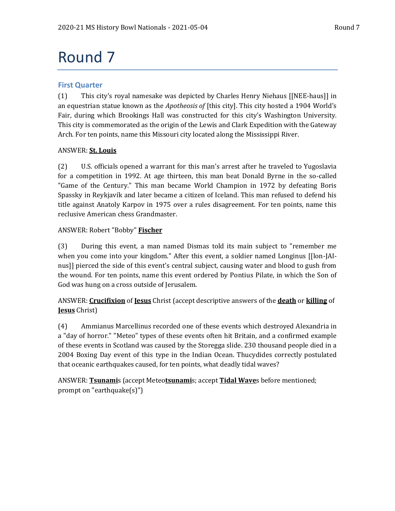# Round 7

# **First Quarter**

(1) This city's royal namesake was depicted by Charles Henry Niehaus [[NEE-haus]] in an equestrian statue known as the *Apotheosis of* [this city]. This city hosted a 1904 World's Fair, during which Brookings Hall was constructed for this city's Washington University. This city is commemorated as the origin of the Lewis and Clark Expedition with the Gateway Arch. For ten points, name this Missouri city located along the Mississippi River.

# ANSWER: **St. Louis**

(2) U.S. officials opened a warrant for this man's arrest after he traveled to Yugoslavia for a competition in 1992. At age thirteen, this man beat Donald Byrne in the so-called "Game of the Century." This man became World Champion in 1972 by defeating Boris Spassky in Reykjavík and later became a citizen of Iceland. This man refused to defend his title against Anatoly Karpov in 1975 over a rules disagreement. For ten points, name this reclusive American chess Grandmaster.

# ANSWER: Robert "Bobby" **Fischer**

(3) During this event, a man named Dismas told its main subject to "remember me when you come into your kingdom." After this event, a soldier named Longinus [[lon-JAInus]] pierced the side of this event's central subject, causing water and blood to gush from the wound. For ten points, name this event ordered by Pontius Pilate, in which the Son of God was hung on a cross outside of Jerusalem.

# ANSWER: **Crucifixion** of **Jesus** Christ (accept descriptive answers of the **death** or **killing** of **Jesus** Christ)

(4) Ammianus Marcellinus recorded one of these events which destroyed Alexandria in a "day of horror." "Meteo" types of these events often hit Britain, and a confirmed example of these events in Scotland was caused by the Storegga slide. 230 thousand people died in a 2004 Boxing Day event of this type in the Indian Ocean. Thucydides correctly postulated that oceanic earthquakes caused, for ten points, what deadly tidal waves?

ANSWER: **Tsunami**s (accept Meteo**tsunami**s; accept **Tidal Wave**s before mentioned; prompt on "earthquake(s)")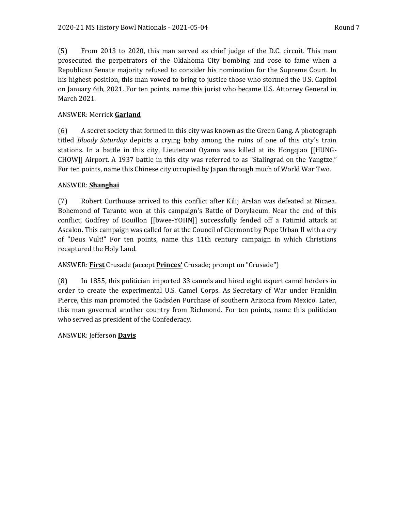(5) From 2013 to 2020, this man served as chief judge of the D.C. circuit. This man prosecuted the perpetrators of the Oklahoma City bombing and rose to fame when a Republican Senate majority refused to consider his nomination for the Supreme Court. In his highest position, this man vowed to bring to justice those who stormed the U.S. Capitol on January 6th, 2021. For ten points, name this jurist who became U.S. Attorney General in March 2021.

#### ANSWER: Merrick **Garland**

(6) A secret society that formed in this city was known as the Green Gang. A photograph titled *Bloody Saturday* depicts a crying baby among the ruins of one of this city's train stations. In a battle in this city, Lieutenant Oyama was killed at its Hongqiao [[HUNG-CHOW]] Airport. A 1937 battle in this city was referred to as "Stalingrad on the Yangtze." For ten points, name this Chinese city occupied by Japan through much of World War Two.

#### ANSWER: **Shanghai**

(7) Robert Curthouse arrived to this conflict after Kilij Arslan was defeated at Nicaea. Bohemond of Taranto won at this campaign's Battle of Dorylaeum. Near the end of this conflict, Godfrey of Bouillon [[bwee-YOHN]] successfully fended off a Fatimid attack at Ascalon. This campaign was called for at the Council of Clermont by Pope Urban II with a cry of "Deus Vult!" For ten points, name this 11th century campaign in which Christians recaptured the Holy Land.

#### ANSWER: **First** Crusade (accept **Princes'** Crusade; prompt on "Crusade")

(8) In 1855, this politician imported 33 camels and hired eight expert camel herders in order to create the experimental U.S. Camel Corps. As Secretary of War under Franklin Pierce, this man promoted the Gadsden Purchase of southern Arizona from Mexico. Later, this man governed another country from Richmond. For ten points, name this politician who served as president of the Confederacy.

#### ANSWER: Jefferson **Davis**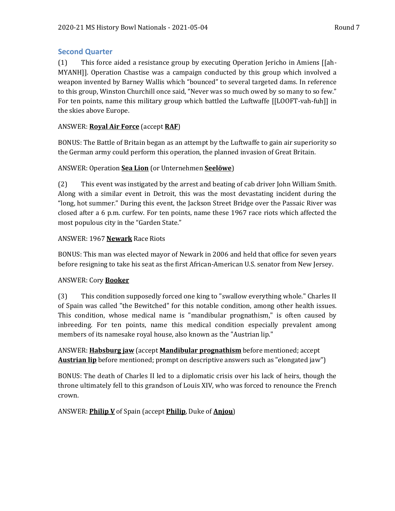# **Second Quarter**

(1) This force aided a resistance group by executing Operation Jericho in Amiens [[ah-MYANH]]. Operation Chastise was a campaign conducted by this group which involved a weapon invented by Barney Wallis which "bounced" to several targeted dams. In reference to this group, Winston Churchill once said, "Never was so much owed by so many to so few." For ten points, name this military group which battled the Luftwaffe [[LOOFT-vah-fuh]] in the skies above Europe.

# ANSWER: **Royal Air Force** (accept **RAF**)

BONUS: The Battle of Britain began as an attempt by the Luftwaffe to gain air superiority so the German army could perform this operation, the planned invasion of Great Britain.

# ANSWER: Operation **Sea Lion** (or Unternehmen **Seelöwe**)

(2) This event was instigated by the arrest and beating of cab driver John William Smith. Along with a similar event in Detroit, this was the most devastating incident during the "long, hot summer." During this event, the Jackson Street Bridge over the Passaic River was closed after a 6 p.m. curfew. For ten points, name these 1967 race riots which affected the most populous city in the "Garden State."

### ANSWER: 1967 **Newark** Race Riots

BONUS: This man was elected mayor of Newark in 2006 and held that office for seven years before resigning to take his seat as the first African-American U.S. senator from New Jersey.

# ANSWER: Cory **Booker**

(3) This condition supposedly forced one king to "swallow everything whole." Charles II of Spain was called "the Bewitched" for this notable condition, among other health issues. This condition, whose medical name is "mandibular prognathism," is often caused by inbreeding. For ten points, name this medical condition especially prevalent among members of its namesake royal house, also known as the "Austrian lip."

ANSWER: **Habsburg jaw** (accept **Mandibular prognathism** before mentioned; accept **Austrian lip** before mentioned; prompt on descriptive answers such as "elongated jaw")

BONUS: The death of Charles II led to a diplomatic crisis over his lack of heirs, though the throne ultimately fell to this grandson of Louis XIV, who was forced to renounce the French crown.

# ANSWER: **Philip V** of Spain (accept **Philip**, Duke of **Anjou**)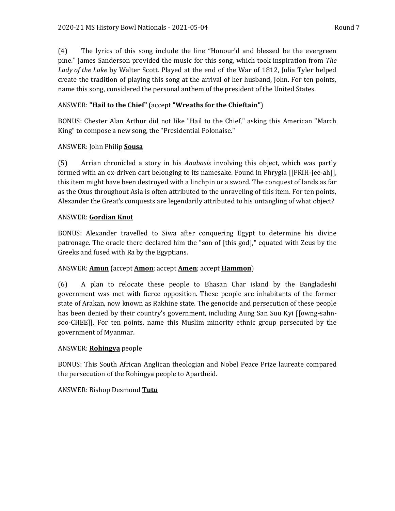(4) The lyrics of this song include the line "Honour'd and blessed be the evergreen pine." James Sanderson provided the music for this song, which took inspiration from *The Lady of the Lake* by Walter Scott. Played at the end of the War of 1812, Julia Tyler helped create the tradition of playing this song at the arrival of her husband, John. For ten points, name this song, considered the personal anthem of the president of the United States.

# ANSWER: **"Hail to the Chief"** (accept **"Wreaths for the Chieftain"**)

BONUS: Chester Alan Arthur did not like "Hail to the Chief," asking this American "March King" to compose a new song, the "Presidential Polonaise."

# ANSWER: John Philip **Sousa**

(5) Arrian chronicled a story in his *Anabasis* involving this object, which was partly formed with an ox-driven cart belonging to its namesake. Found in Phrygia [[FRIH-jee-ah]], this item might have been destroyed with a linchpin or a sword. The conquest of lands as far as the Oxus throughout Asia is often attributed to the unraveling of this item. For ten points, Alexander the Great's conquests are legendarily attributed to his untangling of what object?

# ANSWER: **Gordian Knot**

BONUS: Alexander travelled to Siwa after conquering Egypt to determine his divine patronage. The oracle there declared him the "son of [this god]," equated with Zeus by the Greeks and fused with Ra by the Egyptians.

# ANSWER: **Amun** (accept **Amon**; accept **Amen**; accept **Hammon**)

(6) A plan to relocate these people to Bhasan Char island by the Bangladeshi government was met with fierce opposition. These people are inhabitants of the former state of Arakan, now known as Rakhine state. The genocide and persecution of these people has been denied by their country's government, including Aung San Suu Kyi [[owng-sahnsoo-CHEE]]. For ten points, name this Muslim minority ethnic group persecuted by the government of Myanmar.

# ANSWER: **Rohingya** people

BONUS: This South African Anglican theologian and Nobel Peace Prize laureate compared the persecution of the Rohingya people to Apartheid.

# ANSWER: Bishop Desmond **Tutu**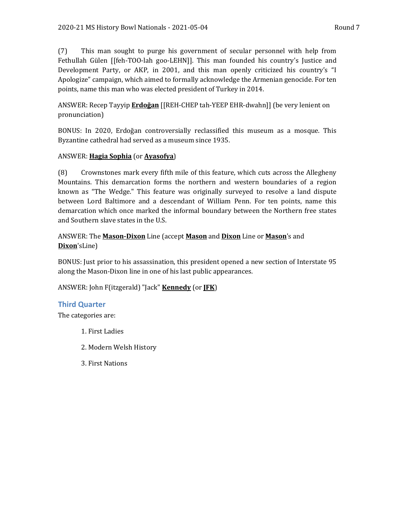(7) This man sought to purge his government of secular personnel with help from Fethullah Gülen [[feh-TOO-lah goo-LEHN]]. This man founded his country's Justice and Development Party, or AKP, in 2001, and this man openly criticized his country's "I Apologize" campaign, which aimed to formally acknowledge the Armenian genocide. For ten points, name this man who was elected president of Turkey in 2014.

ANSWER: Recep Tayyip **Erdoğan** [[REH-CHEP tah-YEEP EHR-dwahn]] (be very lenient on pronunciation)

BONUS: In 2020, Erdoğan controversially reclassified this museum as a mosque. This Byzantine cathedral had served as a museum since 1935.

# ANSWER: **Hagia Sophia** (or **Ayasofya**)

(8) Crownstones mark every fifth mile of this feature, which cuts across the Allegheny Mountains. This demarcation forms the northern and western boundaries of a region known as "The Wedge." This feature was originally surveyed to resolve a land dispute between Lord Baltimore and a descendant of William Penn. For ten points, name this demarcation which once marked the informal boundary between the Northern free states and Southern slave states in the U.S.

# ANSWER: The **Mason-Dixon** Line (accept **Mason** and **Dixon** Line or **Mason**'s and **Dixon**'sLine)

BONUS: Just prior to his assassination, this president opened a new section of Interstate 95 along the Mason-Dixon line in one of his last public appearances.

ANSWER: John F(itzgerald) "Jack" **Kennedy** (or **JFK**)

# **Third Quarter**

The categories are:

- 1. First Ladies
- 2. Modern Welsh History
- 3. First Nations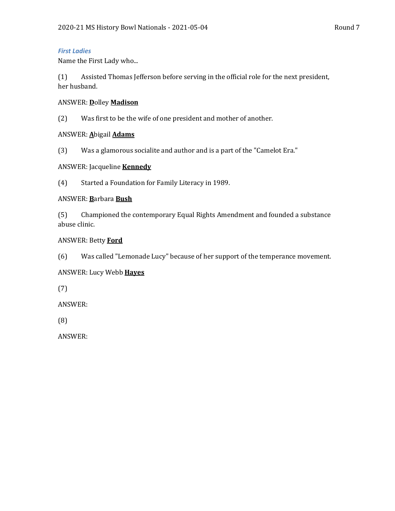#### *First Ladies*

Name the First Lady who...

(1) Assisted Thomas Jefferson before serving in the official role for the next president, her husband.

#### ANSWER: **D**olley **Madison**

(2) Was first to be the wife of one president and mother of another.

#### ANSWER: **A**bigail **Adams**

(3) Was a glamorous socialite and author and is a part of the "Camelot Era."

#### ANSWER: Jacqueline **Kennedy**

(4) Started a Foundation for Family Literacy in 1989.

#### ANSWER: **B**arbara **Bush**

(5) Championed the contemporary Equal Rights Amendment and founded a substance abuse clinic.

#### ANSWER: Betty **Ford**

(6) Was called "Lemonade Lucy" because of her support of the temperance movement.

#### ANSWER: Lucy Webb **Hayes**

(7)

ANSWER:

(8)

ANSWER: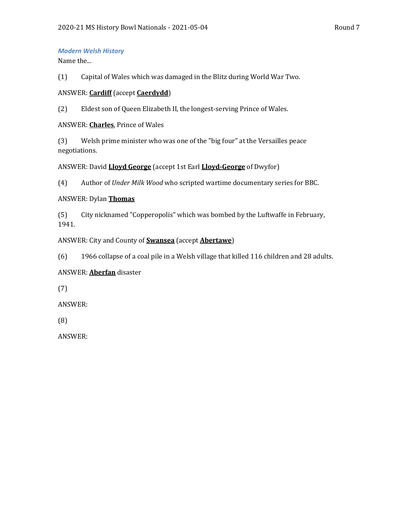#### *Modern Welsh History*

Name the...

(1) Capital of Wales which was damaged in the Blitz during World War Two.

#### ANSWER: **Cardiff** (accept **Caerdydd**)

(2) Eldest son of Queen Elizabeth II, the longest-serving Prince of Wales.

#### ANSWER: **Charles**, Prince of Wales

(3) Welsh prime minister who was one of the "big four" at the Versailles peace negotiations.

ANSWER: David **Lloyd George** (accept 1st Earl **Lloyd-George** of Dwyfor)

(4) Author of *Under Milk Wood* who scripted wartime documentary series for BBC.

### ANSWER: Dylan **Thomas**

(5) City nicknamed "Copperopolis" which was bombed by the Luftwaffe in February, 1941.

### ANSWER: City and County of **Swansea** (accept **Abertawe**)

(6) 1966 collapse of a coal pile in a Welsh village that killed 116 children and 28 adults.

# ANSWER: **Aberfan** disaster

(7)

ANSWER:

(8)

ANSWER: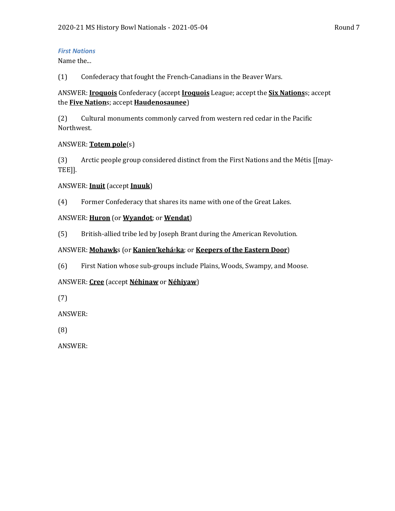### *First Nations*

Name the...

(1) Confederacy that fought the French-Canadians in the Beaver Wars.

# ANSWER: **Iroquois** Confederacy (accept **Iroquois** League; accept the **Six Nations**s; accept the **Five Nation**s; accept **Haudenosaunee**)

(2) Cultural monuments commonly carved from western red cedar in the Pacific Northwest.

# ANSWER: **Totem pole**(s)

(3) Arctic people group considered distinct from the First Nations and the Métis [[may-TEE]].

# ANSWER: **Inuit** (accept **Inuuk**)

(4) Former Confederacy that shares its name with one of the Great Lakes.

### ANSWER: **Huron** (or **Wyandot**; or **Wendat**)

(5) British-allied tribe led by Joseph Brant during the American Revolution.

### ANSWER: Mohawks (or Kanien'kehá**<sup>:</sup>ka**; or Keepers of the Eastern Door)

(6) First Nation whose sub-groups include Plains, Woods, Swampy, and Moose.

# ANSWER: **Cree** (accept **Néhinaw** or **Néhiyaw**)

(7)

ANSWER:

(8)

ANSWER: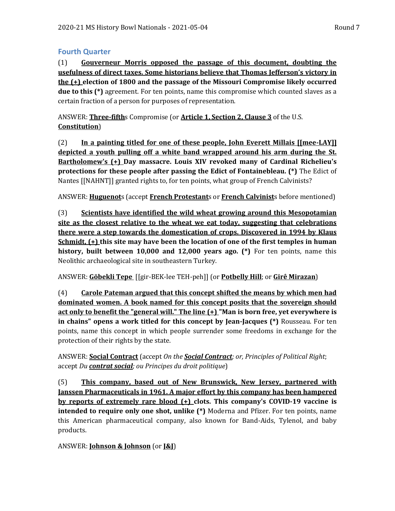# **Fourth Quarter**

(1) **Gouverneur Morris opposed the passage of this document, doubting the usefulness of direct taxes. Some historians believe that Thomas Jefferson's victory in the (+) election of 1800 and the passage of the Missouri Compromise likely occurred due to this (\*)** agreement. For ten points, name this compromise which counted slaves as a certain fraction of a person for purposes of representation.

ANSWER: **Three-fifth**s Compromise (or **Article 1, Section 2, Clause 3** of the U.S. **Constitution**)

(2) **In a painting titled for one of these people, John Everett Millais [[mee-LAY]] depicted a youth pulling off a white band wrapped around his arm during the St. Bartholomew's (+) Day massacre. Louis XIV revoked many of Cardinal Richelieu's protections for these people after passing the Edict of Fontainebleau. (\*)** The Edict of Nantes [[NAHNT]] granted rights to, for ten points, what group of French Calvinists?

ANSWER: **Huguenot**s (accept **French Protestant**s or **French Calvinist**s before mentioned)

(3) **Scientists have identified the wild wheat growing around this Mesopotamian site as the closest relative to the wheat we eat today, suggesting that celebrations there were a step towards the domestication of crops. Discovered in 1994 by Klaus Schmidt, (+) this site may have been the location of one of the first temples in human history, built between 10,000 and 12,000 years ago. (\*)** For ten points, name this Neolithic archaeological site in southeastern Turkey.

ANSWER: **Göbekli Tepe** [[gir-BEK-lee TEH-peh]] (or **Potbelly Hill**; or **Girê Mirazan**)

(4) **Carole Pateman argued that this concept shifted the means by which men had dominated women. A book named for this concept posits that the sovereign should act only to benefit the "general will." The line (+) "Man is born free, yet everywhere is in chains" opens a work titled for this concept by Jean-Jacques (\*)** Rousseau. For ten points, name this concept in which people surrender some freedoms in exchange for the protection of their rights by the state.

ANSWER: **Social Contract** (accept *On the Social Contract; or, Principles of Political Right*; accept *Du contrat social; ou Principes du droit politique*)

(5) **This company, based out of New Brunswick, New Jersey, partnered with Janssen Pharmaceuticals in 1961. A major effort by this company has been hampered by reports of extremely rare blood (+) clots. This company's COVID-19 vaccine is intended to require only one shot, unlike (\*)** Moderna and Pfizer. For ten points, name this American pharmaceutical company, also known for Band-Aids, Tylenol, and baby products.

ANSWER: **Johnson & Johnson** (or **J&J**)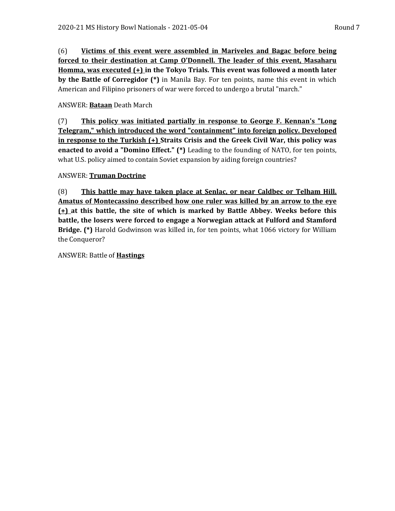(6) **Victims of this event were assembled in Mariveles and Bagac before being forced to their destination at Camp O'Donnell. The leader of this event, Masaharu Homma, was executed (+) in the Tokyo Trials. This event was followed a month later by the Battle of Corregidor (\*)** in Manila Bay. For ten points, name this event in which American and Filipino prisoners of war were forced to undergo a brutal "march."

# ANSWER: **Bataan** Death March

(7) **This policy was initiated partially in response to George F. Kennan's "Long Telegram," which introduced the word "containment" into foreign policy. Developed in response to the Turkish (+) Straits Crisis and the Greek Civil War, this policy was enacted to avoid a "Domino Effect." (\*)** Leading to the founding of NATO, for ten points, what U.S. policy aimed to contain Soviet expansion by aiding foreign countries?

### ANSWER: **Truman Doctrine**

(8) **This battle may have taken place at Senlac, or near Caldbec or Telham Hill. Amatus of Montecassino described how one ruler was killed by an arrow to the eye (+) at this battle, the site of which is marked by Battle Abbey. Weeks before this battle, the losers were forced to engage a Norwegian attack at Fulford and Stamford Bridge. (\*)** Harold Godwinson was killed in, for ten points, what 1066 victory for William the Conqueror?

ANSWER: Battle of **Hastings**